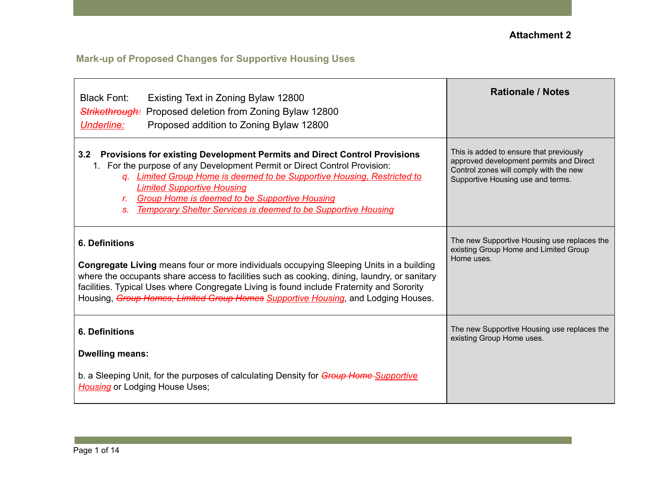# **Mark-up of Proposed Changes for Supportive Housing Uses**

| <b>Black Font:</b><br>Existing Text in Zoning Bylaw 12800<br><b>Strikethrough:</b> Proposed deletion from Zoning Bylaw 12800<br>Proposed addition to Zoning Bylaw 12800<br>Underline:                                                                                                                                                                                                                                       | <b>Rationale / Notes</b>                                                                                                                                          |
|-----------------------------------------------------------------------------------------------------------------------------------------------------------------------------------------------------------------------------------------------------------------------------------------------------------------------------------------------------------------------------------------------------------------------------|-------------------------------------------------------------------------------------------------------------------------------------------------------------------|
| Provisions for existing Development Permits and Direct Control Provisions<br>3.2<br>For the purpose of any Development Permit or Direct Control Provision:<br>q. Limited Group Home is deemed to be Supportive Housing, Restricted to<br><b>Limited Supportive Housing</b><br><b>Group Home is deemed to be Supportive Housing</b><br>$r_{-}$<br><b>Temporary Shelter Services is deemed to be Supportive Housing</b><br>S. | This is added to ensure that previously<br>approved development permits and Direct<br>Control zones will comply with the new<br>Supportive Housing use and terms. |
| <b>6. Definitions</b><br><b>Congregate Living</b> means four or more individuals occupying Sleeping Units in a building<br>where the occupants share access to facilities such as cooking, dining, laundry, or sanitary<br>facilities. Typical Uses where Congregate Living is found include Fraternity and Sorority<br>Housing, Group Homes, Limited Group Homes Supportive Housing, and Lodging Houses.                   | The new Supportive Housing use replaces the<br>existing Group Home and Limited Group<br>Home uses.                                                                |
| <b>6. Definitions</b><br><b>Dwelling means:</b>                                                                                                                                                                                                                                                                                                                                                                             | The new Supportive Housing use replaces the<br>existing Group Home uses.                                                                                          |
| b. a Sleeping Unit, for the purposes of calculating Density for Group Home-Supportive<br><b>Housing</b> or Lodging House Uses;                                                                                                                                                                                                                                                                                              |                                                                                                                                                                   |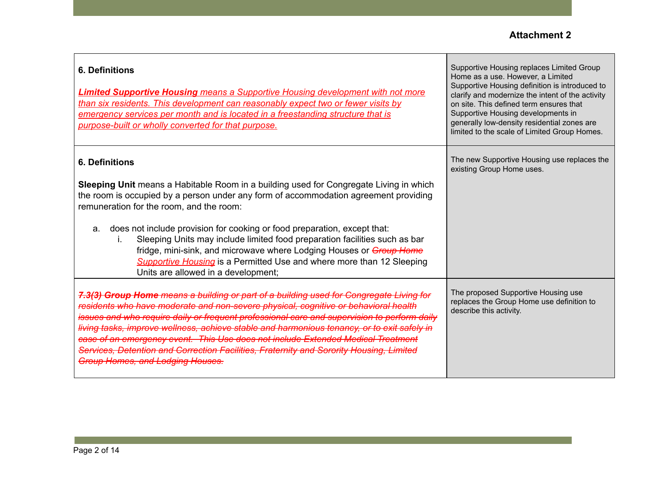| <b>6. Definitions</b><br><b>Limited Supportive Housing</b> means a Supportive Housing development with not more<br>than six residents. This development can reasonably expect two or fewer visits by<br>emergency services per month and is located in a freestanding structure that is<br>purpose-built or wholly converted for that purpose.                                                                                                                                                                                                                                                                          | Supportive Housing replaces Limited Group<br>Home as a use. However, a Limited<br>Supportive Housing definition is introduced to<br>clarify and modernize the intent of the activity<br>on site. This defined term ensures that<br>Supportive Housing developments in<br>generally low-density residential zones are<br>limited to the scale of Limited Group Homes. |
|-------------------------------------------------------------------------------------------------------------------------------------------------------------------------------------------------------------------------------------------------------------------------------------------------------------------------------------------------------------------------------------------------------------------------------------------------------------------------------------------------------------------------------------------------------------------------------------------------------------------------|----------------------------------------------------------------------------------------------------------------------------------------------------------------------------------------------------------------------------------------------------------------------------------------------------------------------------------------------------------------------|
| <b>6. Definitions</b><br>Sleeping Unit means a Habitable Room in a building used for Congregate Living in which<br>the room is occupied by a person under any form of accommodation agreement providing<br>remuneration for the room, and the room:<br>does not include provision for cooking or food preparation, except that:<br>a.<br>Sleeping Units may include limited food preparation facilities such as bar<br>İ.<br>fridge, mini-sink, and microwave where Lodging Houses or Group Home<br><b>Supportive Housing</b> is a Permitted Use and where more than 12 Sleeping<br>Units are allowed in a development; | The new Supportive Housing use replaces the<br>existing Group Home uses.                                                                                                                                                                                                                                                                                             |
| 7.3(3) Group Home means a building or part of a building used for Congregate Living for<br>residents who have moderate and non-severe physical, cognitive or behavioral health<br>and who require daily or frequent professional care and supervision to perform daily<br>living tasks, improve wellness, achieve stable and harmonious tenancy, or to exit safely in<br>case of an emergency event. This Use does not include Extended Medical Treatment<br>Services, Detention and Correction Facilities, Fraternity and Sorority Housing, Limited<br>Group Homes, and Lodging Houses.                                | The proposed Supportive Housing use<br>replaces the Group Home use definition to<br>describe this activity.                                                                                                                                                                                                                                                          |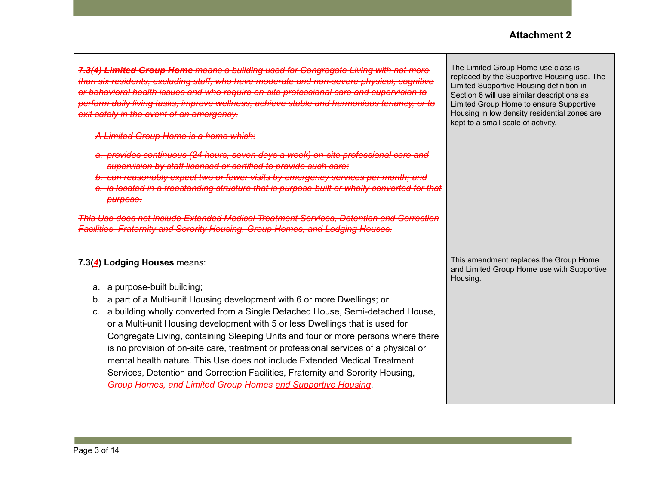| 7.3(4) Limited Group Home means a building used for Congregate Living with not more<br>than six residents, excluding staff, who have moderate and non-severe physical, cognitive<br>or behavioral health issues and who require on-site professional care and supervision to<br>perform daily living tasks, improve wellness, achieve stable and harmonious tenancy, or to<br>exit safely in the event of an emergency.                                                                                                                                                                                                                                                                                                                          | The Limited Group Home use class is<br>replaced by the Supportive Housing use. The<br>Limited Supportive Housing definition in<br>Section 6 will use similar descriptions as<br>Limited Group Home to ensure Supportive<br>Housing in low density residential zones are<br>kept to a small scale of activity. |
|--------------------------------------------------------------------------------------------------------------------------------------------------------------------------------------------------------------------------------------------------------------------------------------------------------------------------------------------------------------------------------------------------------------------------------------------------------------------------------------------------------------------------------------------------------------------------------------------------------------------------------------------------------------------------------------------------------------------------------------------------|---------------------------------------------------------------------------------------------------------------------------------------------------------------------------------------------------------------------------------------------------------------------------------------------------------------|
| A Limited Group Home is a home which:                                                                                                                                                                                                                                                                                                                                                                                                                                                                                                                                                                                                                                                                                                            |                                                                                                                                                                                                                                                                                                               |
| a. provides continuous (24 hours, seven days a week) on-site professional care and<br>supervision by staff licensed or certified to provide such care;<br>b. can reasonably expect two or fewer visits by emergency services per month; and<br>e. is located in a freestanding structure that is purpose-built or wholly converted for that<br>purpose.                                                                                                                                                                                                                                                                                                                                                                                          |                                                                                                                                                                                                                                                                                                               |
| This Use does not include Extended Medical Treatment Services, Detention and Correction<br><b>Facilities, Fraternity and Sorority Housing, Group Homes, and Lodging Houses.</b>                                                                                                                                                                                                                                                                                                                                                                                                                                                                                                                                                                  |                                                                                                                                                                                                                                                                                                               |
| 7.3(4) Lodging Houses means:<br>a purpose-built building;<br>а.<br>a part of a Multi-unit Housing development with 6 or more Dwellings; or<br>b.<br>a building wholly converted from a Single Detached House, Semi-detached House,<br>$C_{\cdot}$<br>or a Multi-unit Housing development with 5 or less Dwellings that is used for<br>Congregate Living, containing Sleeping Units and four or more persons where there<br>is no provision of on-site care, treatment or professional services of a physical or<br>mental health nature. This Use does not include Extended Medical Treatment<br>Services, Detention and Correction Facilities, Fraternity and Sorority Housing,<br>Group Homes, and Limited Group Homes and Supportive Housing. | This amendment replaces the Group Home<br>and Limited Group Home use with Supportive<br>Housing.                                                                                                                                                                                                              |

Г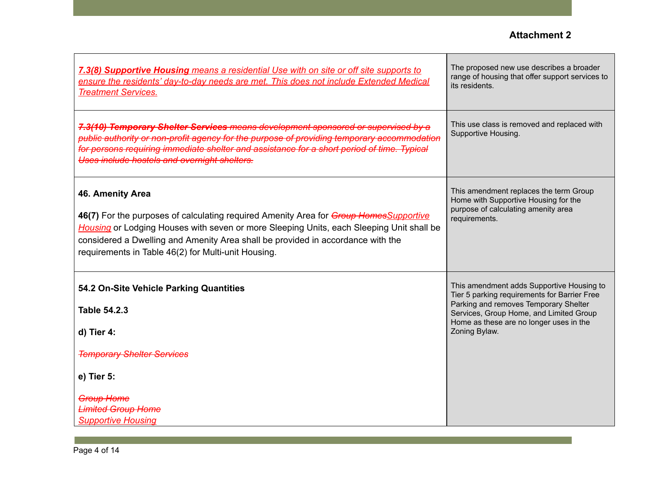Т

| 7.3(8) Supportive Housing means a residential Use with on site or off site supports to<br>ensure the residents' day-to-day needs are met. This does not include Extended Medical<br><b>Treatment Services.</b>                                                                                                                                   | The proposed new use describes a broader<br>range of housing that offer support services to<br>its residents.                                                                                                                             |
|--------------------------------------------------------------------------------------------------------------------------------------------------------------------------------------------------------------------------------------------------------------------------------------------------------------------------------------------------|-------------------------------------------------------------------------------------------------------------------------------------------------------------------------------------------------------------------------------------------|
| 7.3(10) Temporary Shelter Services means development sponsored or supervised by a<br>public authority or non-profit agency for the purpose of providing temporary accommodation<br>for persons requiring immediate shelter and assistance for a short period of time. Typical<br>Uses include hostels and overnight shelters.                    | This use class is removed and replaced with<br>Supportive Housing.                                                                                                                                                                        |
| 46. Amenity Area<br>46(7) For the purposes of calculating required Amenity Area for Group Homes Supportive<br>Housing or Lodging Houses with seven or more Sleeping Units, each Sleeping Unit shall be<br>considered a Dwelling and Amenity Area shall be provided in accordance with the<br>requirements in Table 46(2) for Multi-unit Housing. | This amendment replaces the term Group<br>Home with Supportive Housing for the<br>purpose of calculating amenity area<br>requirements.                                                                                                    |
| 54.2 On-Site Vehicle Parking Quantities<br><b>Table 54.2.3</b><br>d) Tier 4:<br><b>Temporary Shelter Services</b><br>e) Tier 5:                                                                                                                                                                                                                  | This amendment adds Supportive Housing to<br>Tier 5 parking requirements for Barrier Free<br>Parking and removes Temporary Shelter<br>Services, Group Home, and Limited Group<br>Home as these are no longer uses in the<br>Zoning Bylaw. |
| <b>Group Home</b><br><b>Limited Group Home</b><br><b>Supportive Housing</b>                                                                                                                                                                                                                                                                      |                                                                                                                                                                                                                                           |

 $\Gamma$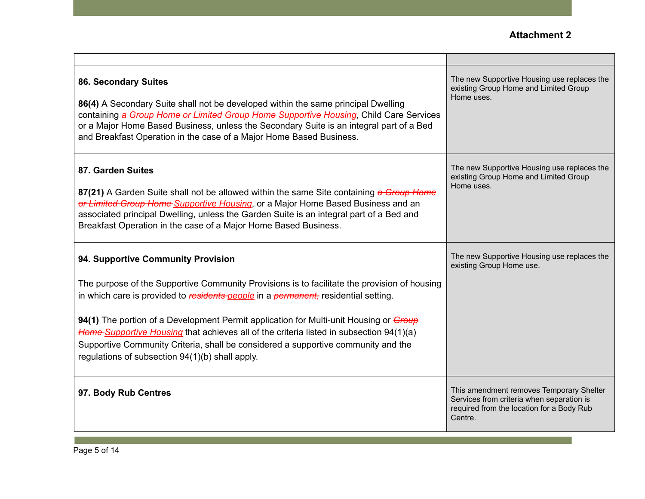| 86. Secondary Suites<br>86(4) A Secondary Suite shall not be developed within the same principal Dwelling<br>containing a Group Home or Limited Group Home Supportive Housing, Child Care Services<br>or a Major Home Based Business, unless the Secondary Suite is an integral part of a Bed<br>and Breakfast Operation in the case of a Major Home Based Business.                                                                                                                                                                                        | The new Supportive Housing use replaces the<br>existing Group Home and Limited Group<br>Home uses.                                            |
|-------------------------------------------------------------------------------------------------------------------------------------------------------------------------------------------------------------------------------------------------------------------------------------------------------------------------------------------------------------------------------------------------------------------------------------------------------------------------------------------------------------------------------------------------------------|-----------------------------------------------------------------------------------------------------------------------------------------------|
| 87. Garden Suites<br>87(21) A Garden Suite shall not be allowed within the same Site containing a Group Home<br>or Limited Group Home Supportive Housing, or a Major Home Based Business and an<br>associated principal Dwelling, unless the Garden Suite is an integral part of a Bed and<br>Breakfast Operation in the case of a Major Home Based Business.                                                                                                                                                                                               | The new Supportive Housing use replaces the<br>existing Group Home and Limited Group<br>Home uses.                                            |
| 94. Supportive Community Provision<br>The purpose of the Supportive Community Provisions is to facilitate the provision of housing<br>in which care is provided to residents people in a permanent, residential setting.<br>94(1) The portion of a Development Permit application for Multi-unit Housing or <i>Group</i><br>Home Supportive Housing that achieves all of the criteria listed in subsection 94(1)(a)<br>Supportive Community Criteria, shall be considered a supportive community and the<br>regulations of subsection 94(1)(b) shall apply. | The new Supportive Housing use replaces the<br>existing Group Home use.                                                                       |
| 97. Body Rub Centres                                                                                                                                                                                                                                                                                                                                                                                                                                                                                                                                        | This amendment removes Temporary Shelter<br>Services from criteria when separation is<br>required from the location for a Body Rub<br>Centre. |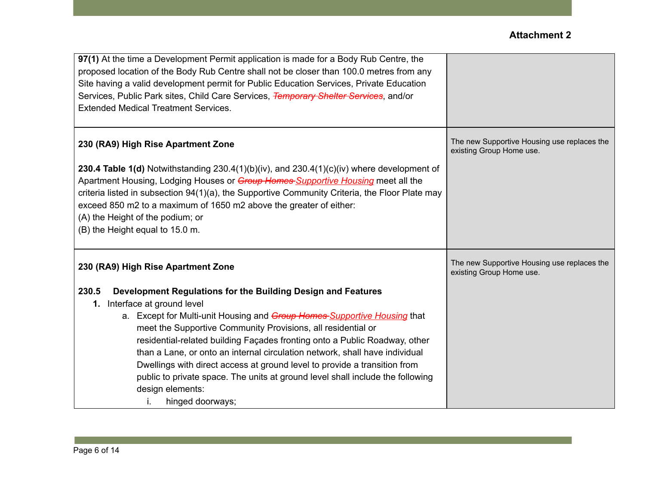| 97(1) At the time a Development Permit application is made for a Body Rub Centre, the             |                                                                         |
|---------------------------------------------------------------------------------------------------|-------------------------------------------------------------------------|
| proposed location of the Body Rub Centre shall not be closer than 100.0 metres from any           |                                                                         |
| Site having a valid development permit for Public Education Services, Private Education           |                                                                         |
| Services, Public Park sites, Child Care Services, Temporary Shelter Services, and/or              |                                                                         |
| <b>Extended Medical Treatment Services.</b>                                                       |                                                                         |
|                                                                                                   |                                                                         |
| 230 (RA9) High Rise Apartment Zone                                                                | The new Supportive Housing use replaces the<br>existing Group Home use. |
| <b>230.4 Table 1(d)</b> Notwithstanding 230.4(1)(b)(iv), and 230.4(1)(c)(iv) where development of |                                                                         |
| Apartment Housing, Lodging Houses or Group Homes Supportive Housing meet all the                  |                                                                         |
| criteria listed in subsection 94(1)(a), the Supportive Community Criteria, the Floor Plate may    |                                                                         |
| exceed 850 m2 to a maximum of 1650 m2 above the greater of either:                                |                                                                         |
| (A) the Height of the podium; or                                                                  |                                                                         |
| (B) the Height equal to 15.0 m.                                                                   |                                                                         |
|                                                                                                   |                                                                         |
| 230 (RA9) High Rise Apartment Zone                                                                | The new Supportive Housing use replaces the<br>existing Group Home use. |
| 230.5<br>Development Regulations for the Building Design and Features                             |                                                                         |
| 1. Interface at ground level                                                                      |                                                                         |
| a. Except for Multi-unit Housing and Group Homes Supportive Housing that                          |                                                                         |
| meet the Supportive Community Provisions, all residential or                                      |                                                                         |
| residential-related building Façades fronting onto a Public Roadway, other                        |                                                                         |
| than a Lane, or onto an internal circulation network, shall have individual                       |                                                                         |
| Dwellings with direct access at ground level to provide a transition from                         |                                                                         |
| public to private space. The units at ground level shall include the following                    |                                                                         |
| design elements:                                                                                  |                                                                         |
| hinged doorways;<br>İ.                                                                            |                                                                         |
|                                                                                                   |                                                                         |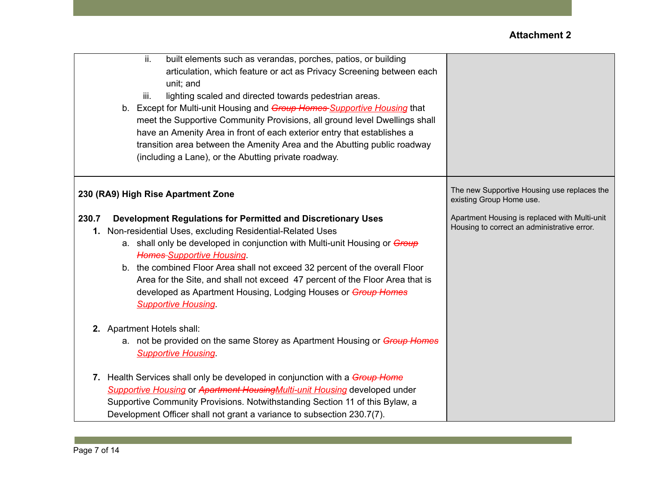| ii.<br>built elements such as verandas, porches, patios, or building<br>articulation, which feature or act as Privacy Screening between each<br>unit; and<br>iii.<br>lighting scaled and directed towards pedestrian areas.<br>b. Except for Multi-unit Housing and Group Homes Supportive Housing that<br>meet the Supportive Community Provisions, all ground level Dwellings shall<br>have an Amenity Area in front of each exterior entry that establishes a<br>transition area between the Amenity Area and the Abutting public roadway<br>(including a Lane), or the Abutting private roadway. |                                                                                              |
|------------------------------------------------------------------------------------------------------------------------------------------------------------------------------------------------------------------------------------------------------------------------------------------------------------------------------------------------------------------------------------------------------------------------------------------------------------------------------------------------------------------------------------------------------------------------------------------------------|----------------------------------------------------------------------------------------------|
| 230 (RA9) High Rise Apartment Zone                                                                                                                                                                                                                                                                                                                                                                                                                                                                                                                                                                   | The new Supportive Housing use replaces the<br>existing Group Home use.                      |
| 230.7<br>Development Regulations for Permitted and Discretionary Uses<br>1. Non-residential Uses, excluding Residential-Related Uses<br>a. shall only be developed in conjunction with Multi-unit Housing or Group<br><b>Homes Supportive Housing.</b><br>b. the combined Floor Area shall not exceed 32 percent of the overall Floor<br>Area for the Site, and shall not exceed 47 percent of the Floor Area that is<br>developed as Apartment Housing, Lodging Houses or Group Homes<br><b>Supportive Housing</b>                                                                                  | Apartment Housing is replaced with Multi-unit<br>Housing to correct an administrative error. |
| 2. Apartment Hotels shall:<br>a. not be provided on the same Storey as Apartment Housing or <i>Group Homes</i><br><b>Supportive Housing</b>                                                                                                                                                                                                                                                                                                                                                                                                                                                          |                                                                                              |
| 7. Health Services shall only be developed in conjunction with a <i>Group Home</i><br>Supportive Housing or Apartment Housing Multi-unit Housing developed under<br>Supportive Community Provisions. Notwithstanding Section 11 of this Bylaw, a<br>Development Officer shall not grant a variance to subsection 230.7(7).                                                                                                                                                                                                                                                                           |                                                                                              |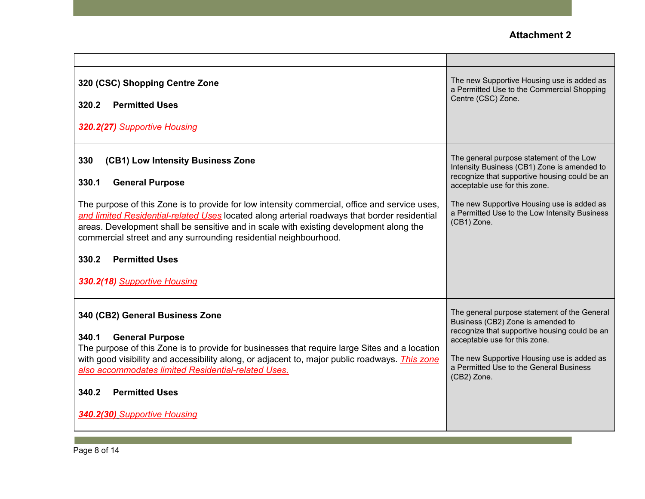| 320 (CSC) Shopping Centre Zone<br>320.2<br><b>Permitted Uses</b><br>320.2(27) Supportive Housing                                                                                                                                                                                                                                                                                                                                                                                                             | The new Supportive Housing use is added as<br>a Permitted Use to the Commercial Shopping<br>Centre (CSC) Zone.                                                                                                                                                                          |
|--------------------------------------------------------------------------------------------------------------------------------------------------------------------------------------------------------------------------------------------------------------------------------------------------------------------------------------------------------------------------------------------------------------------------------------------------------------------------------------------------------------|-----------------------------------------------------------------------------------------------------------------------------------------------------------------------------------------------------------------------------------------------------------------------------------------|
| 330<br>(CB1) Low Intensity Business Zone<br>330.1<br><b>General Purpose</b><br>The purpose of this Zone is to provide for low intensity commercial, office and service uses,<br>and limited Residential-related Uses located along arterial roadways that border residential<br>areas. Development shall be sensitive and in scale with existing development along the<br>commercial street and any surrounding residential neighbourhood.<br><b>Permitted Uses</b><br>330.2<br>330.2(18) Supportive Housing | The general purpose statement of the Low<br>Intensity Business (CB1) Zone is amended to<br>recognize that supportive housing could be an<br>acceptable use for this zone.<br>The new Supportive Housing use is added as<br>a Permitted Use to the Low Intensity Business<br>(CB1) Zone. |
| 340 (CB2) General Business Zone<br>340.1<br><b>General Purpose</b><br>The purpose of this Zone is to provide for businesses that require large Sites and a location<br>with good visibility and accessibility along, or adjacent to, major public roadways. <i>This zone</i><br>also accommodates limited Residential-related Uses.<br><b>Permitted Uses</b><br>340.2<br>340.2(30) Supportive Housing                                                                                                        | The general purpose statement of the General<br>Business (CB2) Zone is amended to<br>recognize that supportive housing could be an<br>acceptable use for this zone.<br>The new Supportive Housing use is added as<br>a Permitted Use to the General Business<br>(CB2) Zone.             |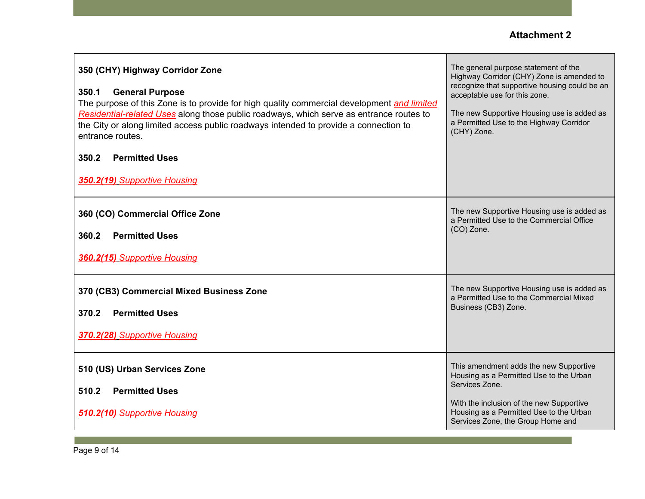| 350 (CHY) Highway Corridor Zone<br><b>General Purpose</b><br>350.1<br>The purpose of this Zone is to provide for high quality commercial development and limited<br>Residential-related Uses along those public roadways, which serve as entrance routes to<br>the City or along limited access public roadways intended to provide a connection to<br>entrance routes.<br><b>Permitted Uses</b><br>350.2<br>350.2(19) Supportive Housing | The general purpose statement of the<br>Highway Corridor (CHY) Zone is amended to<br>recognize that supportive housing could be an<br>acceptable use for this zone.<br>The new Supportive Housing use is added as<br>a Permitted Use to the Highway Corridor<br>(CHY) Zone. |
|-------------------------------------------------------------------------------------------------------------------------------------------------------------------------------------------------------------------------------------------------------------------------------------------------------------------------------------------------------------------------------------------------------------------------------------------|-----------------------------------------------------------------------------------------------------------------------------------------------------------------------------------------------------------------------------------------------------------------------------|
| 360 (CO) Commercial Office Zone<br><b>Permitted Uses</b><br>360.2<br>360.2(15) Supportive Housing                                                                                                                                                                                                                                                                                                                                         | The new Supportive Housing use is added as<br>a Permitted Use to the Commercial Office<br>(CO) Zone.                                                                                                                                                                        |
| 370 (CB3) Commercial Mixed Business Zone<br><b>Permitted Uses</b><br>370.2<br>370.2(28) Supportive Housing                                                                                                                                                                                                                                                                                                                                | The new Supportive Housing use is added as<br>a Permitted Use to the Commercial Mixed<br>Business (CB3) Zone.                                                                                                                                                               |
| 510 (US) Urban Services Zone<br><b>Permitted Uses</b><br>510.2<br><b>510.2(10) Supportive Housing</b>                                                                                                                                                                                                                                                                                                                                     | This amendment adds the new Supportive<br>Housing as a Permitted Use to the Urban<br>Services Zone.<br>With the inclusion of the new Supportive<br>Housing as a Permitted Use to the Urban<br>Services Zone, the Group Home and                                             |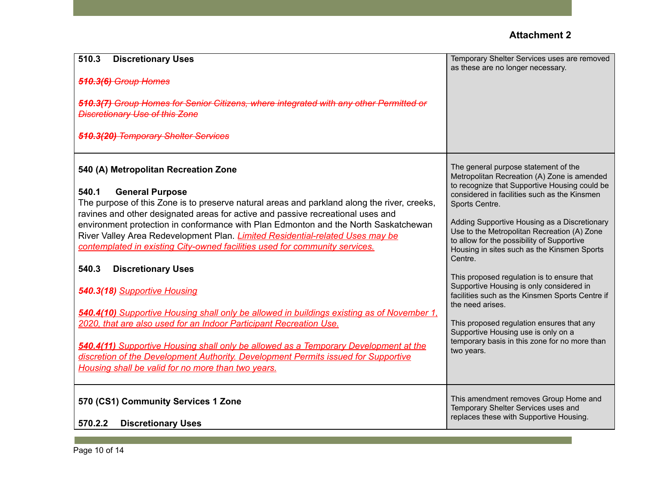| 510.3<br><b>Discretionary Uses</b><br>510.3(6) Group Homes<br>510.3(7) Group Homes for Senior Citizens, where integrated with any other Permitted or<br><b>Discretionary Use of this Zone</b><br>510.3(20) Temporary Shelter Services                                                                                                                                                                                                                                                                                                                                                                                                                                                                                                                                                                                                                                                                                                                                                                 | Temporary Shelter Services uses are removed<br>as these are no longer necessary.                                                                                                                                                                                                                                                                                                                                                                                                                                                                                                                                                                                                                                                  |
|-------------------------------------------------------------------------------------------------------------------------------------------------------------------------------------------------------------------------------------------------------------------------------------------------------------------------------------------------------------------------------------------------------------------------------------------------------------------------------------------------------------------------------------------------------------------------------------------------------------------------------------------------------------------------------------------------------------------------------------------------------------------------------------------------------------------------------------------------------------------------------------------------------------------------------------------------------------------------------------------------------|-----------------------------------------------------------------------------------------------------------------------------------------------------------------------------------------------------------------------------------------------------------------------------------------------------------------------------------------------------------------------------------------------------------------------------------------------------------------------------------------------------------------------------------------------------------------------------------------------------------------------------------------------------------------------------------------------------------------------------------|
| 540 (A) Metropolitan Recreation Zone<br><b>General Purpose</b><br>540.1<br>The purpose of this Zone is to preserve natural areas and parkland along the river, creeks,<br>ravines and other designated areas for active and passive recreational uses and<br>environment protection in conformance with Plan Edmonton and the North Saskatchewan<br>River Valley Area Redevelopment Plan. <i>Limited Residential-related Uses may be</i><br>contemplated in existing City-owned facilities used for community services.<br>540.3<br><b>Discretionary Uses</b><br>540.3(18) Supportive Housing<br>540.4(10) Supportive Housing shall only be allowed in buildings existing as of November 1,<br>2020, that are also used for an Indoor Participant Recreation Use.<br>540.4(11) Supportive Housing shall only be allowed as a Temporary Development at the<br>discretion of the Development Authority. Development Permits issued for Supportive<br>Housing shall be valid for no more than two years. | The general purpose statement of the<br>Metropolitan Recreation (A) Zone is amended<br>to recognize that Supportive Housing could be<br>considered in facilities such as the Kinsmen<br>Sports Centre.<br>Adding Supportive Housing as a Discretionary<br>Use to the Metropolitan Recreation (A) Zone<br>to allow for the possibility of Supportive<br>Housing in sites such as the Kinsmen Sports<br>Centre.<br>This proposed regulation is to ensure that<br>Supportive Housing is only considered in<br>facilities such as the Kinsmen Sports Centre if<br>the need arises.<br>This proposed regulation ensures that any<br>Supportive Housing use is only on a<br>temporary basis in this zone for no more than<br>two years. |
| 570 (CS1) Community Services 1 Zone<br>570.2.2<br><b>Discretionary Uses</b>                                                                                                                                                                                                                                                                                                                                                                                                                                                                                                                                                                                                                                                                                                                                                                                                                                                                                                                           | This amendment removes Group Home and<br>Temporary Shelter Services uses and<br>replaces these with Supportive Housing.                                                                                                                                                                                                                                                                                                                                                                                                                                                                                                                                                                                                           |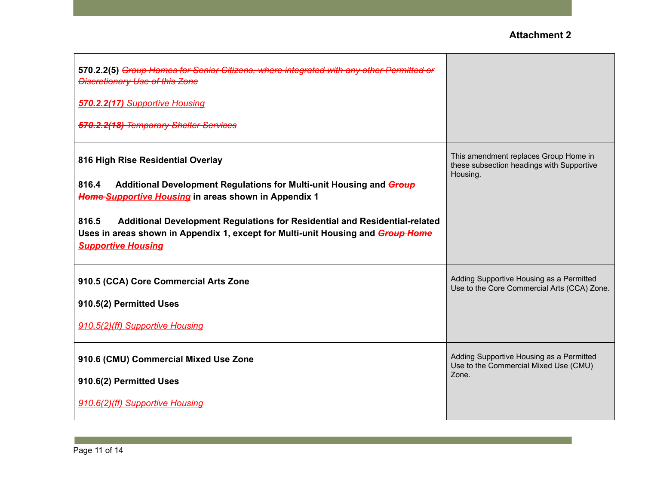| 570.2.2(5) Group Homes for Senior Citizens, where integrated with any other Permitted or<br><b>Discretionary Use of this Zone</b><br>570.2.2(17) Supportive Housing                                                                                                                                                                                                              |                                                                                                |
|----------------------------------------------------------------------------------------------------------------------------------------------------------------------------------------------------------------------------------------------------------------------------------------------------------------------------------------------------------------------------------|------------------------------------------------------------------------------------------------|
| 570.2.2(18) Temporary Shelter Services                                                                                                                                                                                                                                                                                                                                           |                                                                                                |
| 816 High Rise Residential Overlay<br>Additional Development Regulations for Multi-unit Housing and Group<br>816.4<br>Home Supportive Housing in areas shown in Appendix 1<br>816.5<br>Additional Development Regulations for Residential and Residential-related<br>Uses in areas shown in Appendix 1, except for Multi-unit Housing and Group Home<br><b>Supportive Housing</b> | This amendment replaces Group Home in<br>these subsection headings with Supportive<br>Housing. |
| 910.5 (CCA) Core Commercial Arts Zone<br>910.5(2) Permitted Uses<br>910.5(2)(ff) Supportive Housing                                                                                                                                                                                                                                                                              | Adding Supportive Housing as a Permitted<br>Use to the Core Commercial Arts (CCA) Zone.        |
| 910.6 (CMU) Commercial Mixed Use Zone<br>910.6(2) Permitted Uses<br>910.6(2)(ff) Supportive Housing                                                                                                                                                                                                                                                                              | Adding Supportive Housing as a Permitted<br>Use to the Commercial Mixed Use (CMU)<br>Zone.     |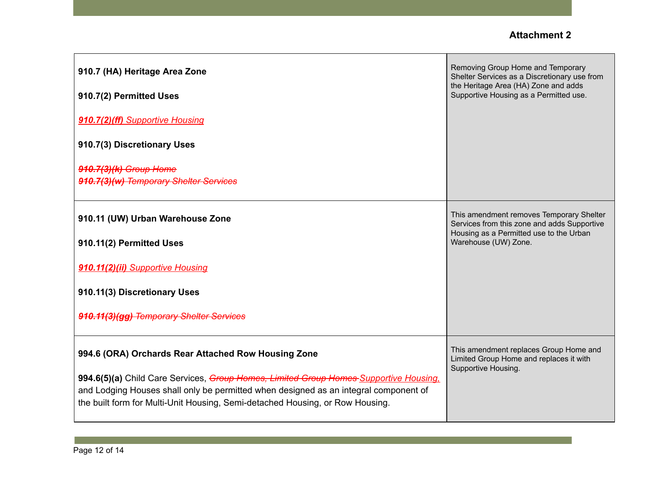| 910.7 (HA) Heritage Area Zone<br>910.7(2) Permitted Uses                                                                                                              | Removing Group Home and Temporary<br>Shelter Services as a Discretionary use from<br>the Heritage Area (HA) Zone and adds<br>Supportive Housing as a Permitted use. |
|-----------------------------------------------------------------------------------------------------------------------------------------------------------------------|---------------------------------------------------------------------------------------------------------------------------------------------------------------------|
| 910.7(2)(ff) Supportive Housing                                                                                                                                       |                                                                                                                                                                     |
| 910.7(3) Discretionary Uses                                                                                                                                           |                                                                                                                                                                     |
| 910.7(3)(k) Group Home<br>910.7(3)(w) Temporary Shelter Services                                                                                                      |                                                                                                                                                                     |
| 910.11 (UW) Urban Warehouse Zone                                                                                                                                      | This amendment removes Temporary Shelter<br>Services from this zone and adds Supportive<br>Housing as a Permitted use to the Urban<br>Warehouse (UW) Zone.          |
| 910.11(2) Permitted Uses                                                                                                                                              |                                                                                                                                                                     |
| 910.11(2)(ii) Supportive Housing                                                                                                                                      |                                                                                                                                                                     |
| 910.11(3) Discretionary Uses                                                                                                                                          |                                                                                                                                                                     |
| 910.11(3)(gg) Temporary Shelter Services                                                                                                                              |                                                                                                                                                                     |
| 994.6 (ORA) Orchards Rear Attached Row Housing Zone<br>994.6(5)(a) Child Care Services, Group Homes, Limited Group Homes Supportive Housing.                          | This amendment replaces Group Home and<br>Limited Group Home and replaces it with<br>Supportive Housing.                                                            |
| and Lodging Houses shall only be permitted when designed as an integral component of<br>the built form for Multi-Unit Housing, Semi-detached Housing, or Row Housing. |                                                                                                                                                                     |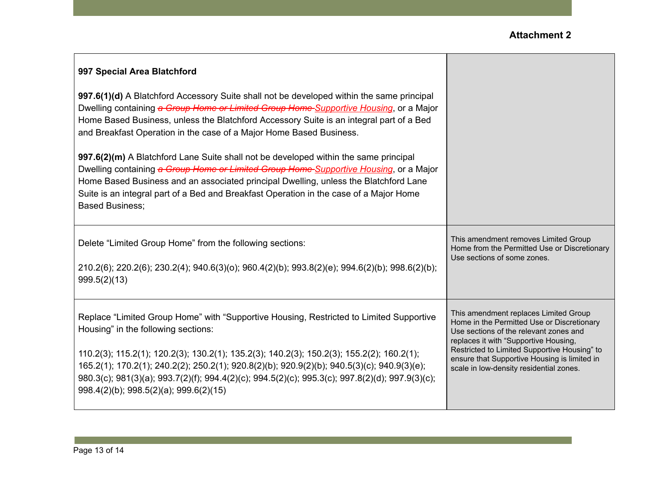Т

| 997 Special Area Blatchford                                                                                                                                                                                                                                                                                                                                                                                                                                                     |                                                                                                                                                                                                                                                                                                                   |
|---------------------------------------------------------------------------------------------------------------------------------------------------------------------------------------------------------------------------------------------------------------------------------------------------------------------------------------------------------------------------------------------------------------------------------------------------------------------------------|-------------------------------------------------------------------------------------------------------------------------------------------------------------------------------------------------------------------------------------------------------------------------------------------------------------------|
| 997.6(1)(d) A Blatchford Accessory Suite shall not be developed within the same principal<br>Dwelling containing a Group Home or Limited Group Home Supportive Housing, or a Major<br>Home Based Business, unless the Blatchford Accessory Suite is an integral part of a Bed<br>and Breakfast Operation in the case of a Major Home Based Business.                                                                                                                            |                                                                                                                                                                                                                                                                                                                   |
| 997.6(2)(m) A Blatchford Lane Suite shall not be developed within the same principal<br>Dwelling containing a Group Home or Limited Group Home Supportive Housing, or a Major<br>Home Based Business and an associated principal Dwelling, unless the Blatchford Lane<br>Suite is an integral part of a Bed and Breakfast Operation in the case of a Major Home<br><b>Based Business;</b>                                                                                       |                                                                                                                                                                                                                                                                                                                   |
| Delete "Limited Group Home" from the following sections:<br>210.2(6); 220.2(6); 230.2(4); 940.6(3)(0); 960.4(2)(b); 993.8(2)(e); 994.6(2)(b); 998.6(2)(b);<br>999.5(2)(13)                                                                                                                                                                                                                                                                                                      | This amendment removes Limited Group<br>Home from the Permitted Use or Discretionary<br>Use sections of some zones.                                                                                                                                                                                               |
| Replace "Limited Group Home" with "Supportive Housing, Restricted to Limited Supportive<br>Housing" in the following sections:<br>110.2(3); 115.2(1); 120.2(3); 130.2(1); 135.2(3); 140.2(3); 150.2(3); 155.2(2); 160.2(1);<br>165.2(1); 170.2(1); 240.2(2); 250.2(1); 920.8(2)(b); 920.9(2)(b); 940.5(3)(c); 940.9(3)(e);<br>980.3(c); 981(3)(a); 993.7(2)(f); 994.4(2)(c); 994.5(2)(c); 995.3(c); 997.8(2)(d); 997.9(3)(c);<br>$998.4(2)(b)$ ; $998.5(2)(a)$ ; $999.6(2)(15)$ | This amendment replaces Limited Group<br>Home in the Permitted Use or Discretionary<br>Use sections of the relevant zones and<br>replaces it with "Supportive Housing,<br>Restricted to Limited Supportive Housing" to<br>ensure that Supportive Housing is limited in<br>scale in low-density residential zones. |

 $\Gamma$